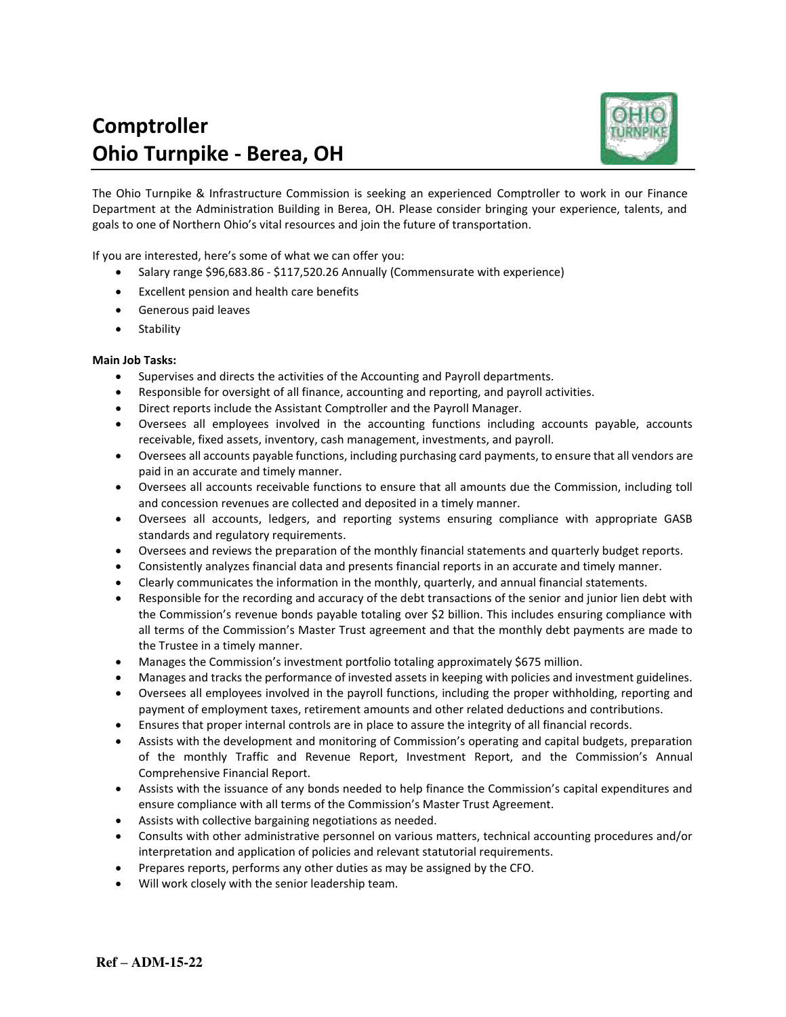# **Comptroller Ohio Turnpike - Berea, OH**



The Ohio Turnpike & Infrastructure Commission is seeking an experienced Comptroller to work in our Finance Department at the Administration Building in Berea, OH. Please consider bringing your experience, talents, and goals to one of Northern Ohio's vital resources and join the future of transportation.

If you are interested, here's some of what we can offer you:

- Salary range \$96,683.86 \$117,520.26 Annually (Commensurate with experience)
- Excellent pension and health care benefits
- Generous paid leaves
- Stability

## **Main Job Tasks:**

- Supervises and directs the activities of the Accounting and Payroll departments.
- Responsible for oversight of all finance, accounting and reporting, and payroll activities.
- Direct reports include the Assistant Comptroller and the Payroll Manager.
- Oversees all employees involved in the accounting functions including accounts payable, accounts receivable, fixed assets, inventory, cash management, investments, and payroll.
- Oversees all accounts payable functions, including purchasing card payments, to ensure that all vendors are paid in an accurate and timely manner.
- Oversees all accounts receivable functions to ensure that all amounts due the Commission, including toll and concession revenues are collected and deposited in a timely manner.
- Oversees all accounts, ledgers, and reporting systems ensuring compliance with appropriate GASB standards and regulatory requirements.
- Oversees and reviews the preparation of the monthly financial statements and quarterly budget reports.
- Consistently analyzes financial data and presents financial reports in an accurate and timely manner.
- Clearly communicates the information in the monthly, quarterly, and annual financial statements.
- Responsible for the recording and accuracy of the debt transactions of the senior and junior lien debt with the Commission's revenue bonds payable totaling over \$2 billion. This includes ensuring compliance with all terms of the Commission's Master Trust agreement and that the monthly debt payments are made to the Trustee in a timely manner.
- Manages the Commission's investment portfolio totaling approximately \$675 million.
- Manages and tracks the performance of invested assets in keeping with policies and investment guidelines.
- Oversees all employees involved in the payroll functions, including the proper withholding, reporting and payment of employment taxes, retirement amounts and other related deductions and contributions.
- Ensures that proper internal controls are in place to assure the integrity of all financial records.
- Assists with the development and monitoring of Commission's operating and capital budgets, preparation of the monthly Traffic and Revenue Report, Investment Report, and the Commission's Annual Comprehensive Financial Report.
- Assists with the issuance of any bonds needed to help finance the Commission's capital expenditures and ensure compliance with all terms of the Commission's Master Trust Agreement.
- Assists with collective bargaining negotiations as needed.
- Consults with other administrative personnel on various matters, technical accounting procedures and/or interpretation and application of policies and relevant statutorial requirements.
- Prepares reports, performs any other duties as may be assigned by the CFO.
- Will work closely with the senior leadership team.